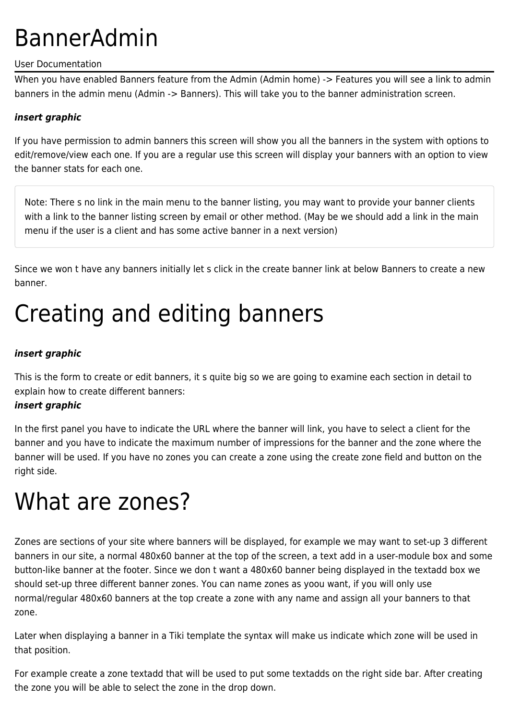# BannerAdmin

### User Documentation

When you have enabled Banners feature from the Admin (Admin home) -> Features you will see a link to admin banners in the admin menu (Admin -> Banners). This will take you to the banner administration screen.

### *insert graphic*

If you have permission to admin banners this screen will show you all the banners in the system with options to edit/remove/view each one. If you are a regular use this screen will display your banners with an option to view the banner stats for each one.

Note: There s no link in the main menu to the banner listing, you may want to provide your banner clients with a link to the banner listing screen by email or other method. (May be we should add a link in the main menu if the user is a client and has some active banner in a next version)

Since we won t have any banners initially let s click in the create banner link at below Banners to create a new banner.

# Creating and editing banners

### *insert graphic*

This is the form to create or edit banners, it s quite big so we are going to examine each section in detail to explain how to create different banners:

### *insert graphic*

In the first panel you have to indicate the URL where the banner will link, you have to select a client for the banner and you have to indicate the maximum number of impressions for the banner and the zone where the banner will be used. If you have no zones you can create a zone using the create zone field and button on the right side.

## What are zones?

Zones are sections of your site where banners will be displayed, for example we may want to set-up 3 different banners in our site, a normal 480x60 banner at the top of the screen, a text add in a user-module box and some button-like banner at the footer. Since we don t want a 480x60 banner being displayed in the textadd box we should set-up three different banner zones. You can name zones as yoou want, if you will only use normal/regular 480x60 banners at the top create a zone with any name and assign all your banners to that zone.

Later when displaying a banner in a Tiki template the syntax will make us indicate which zone will be used in that position.

For example create a zone textadd that will be used to put some textadds on the right side bar. After creating the zone you will be able to select the zone in the drop down.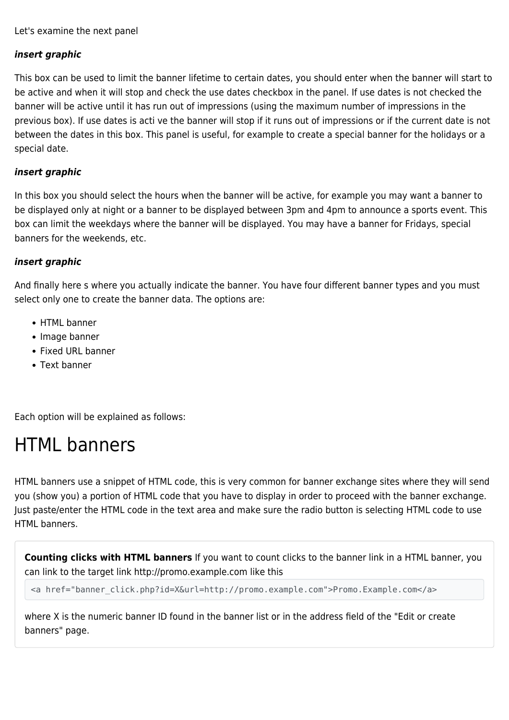Let's examine the next panel

### *insert graphic*

This box can be used to limit the banner lifetime to certain dates, you should enter when the banner will start to be active and when it will stop and check the use dates checkbox in the panel. If use dates is not checked the banner will be active until it has run out of impressions (using the maximum number of impressions in the previous box). If use dates is acti ve the banner will stop if it runs out of impressions or if the current date is not between the dates in this box. This panel is useful, for example to create a special banner for the holidays or a special date.

#### *insert graphic*

In this box you should select the hours when the banner will be active, for example you may want a banner to be displayed only at night or a banner to be displayed between 3pm and 4pm to announce a sports event. This box can limit the weekdays where the banner will be displayed. You may have a banner for Fridays, special banners for the weekends, etc.

#### *insert graphic*

And finally here s where you actually indicate the banner. You have four different banner types and you must select only one to create the banner data. The options are:

- HTML banner
- Image banner
- Fixed URL banner
- Text banner

Each option will be explained as follows:

## HTML banners

HTML banners use a snippet of HTML code, this is very common for banner exchange sites where they will send you (show you) a portion of HTML code that you have to display in order to proceed with the banner exchange. Just paste/enter the HTML code in the text area and make sure the radio button is selecting HTML code to use HTML banners.

**Counting clicks with HTML banners** If you want to count clicks to the banner link in a HTML banner, you can link to the target link http://promo.example.com like this

<a href="banner click.php?id=X&url=http://promo.example.com">Promo.Example.com</a>

where X is the numeric banner ID found in the banner list or in the address field of the "Edit or create banners" page.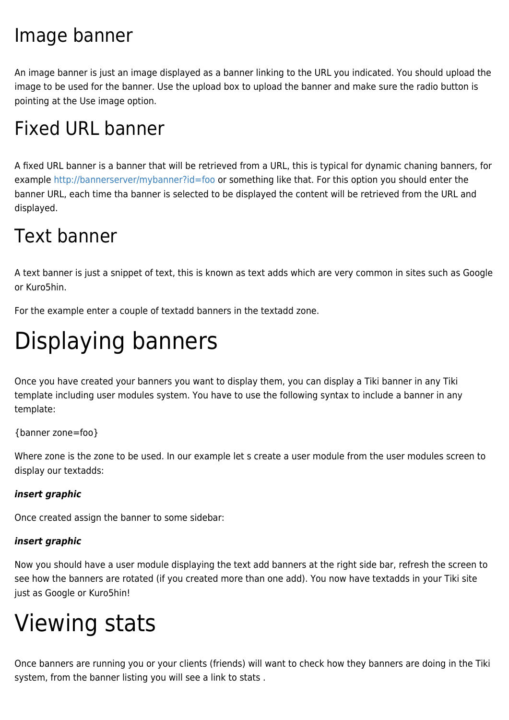## Image banner

An image banner is just an image displayed as a banner linking to the URL you indicated. You should upload the image to be used for the banner. Use the upload box to upload the banner and make sure the radio button is pointing at the Use image option.

## Fixed URL banner

A fixed URL banner is a banner that will be retrieved from a URL, this is typical for dynamic chaning banners, for example [http://bannerserver/mybanner?id=foo](#page--1-0) or something like that. For this option you should enter the banner URL, each time tha banner is selected to be displayed the content will be retrieved from the URL and displayed.

## Text banner

A text banner is just a snippet of text, this is known as text adds which are very common in sites such as Google or Kuro5hin.

For the example enter a couple of textadd banners in the textadd zone.

# Displaying banners

Once you have created your banners you want to display them, you can display a Tiki banner in any Tiki template including user modules system. You have to use the following syntax to include a banner in any template:

{banner zone=foo}

Where zone is the zone to be used. In our example let s create a user module from the user modules screen to display our textadds:

### *insert graphic*

Once created assign the banner to some sidebar:

### *insert graphic*

Now you should have a user module displaying the text add banners at the right side bar, refresh the screen to see how the banners are rotated (if you created more than one add). You now have textadds in your Tiki site just as Google or Kuro5hin!

# Viewing stats

Once banners are running you or your clients (friends) will want to check how they banners are doing in the Tiki system, from the banner listing you will see a link to stats .